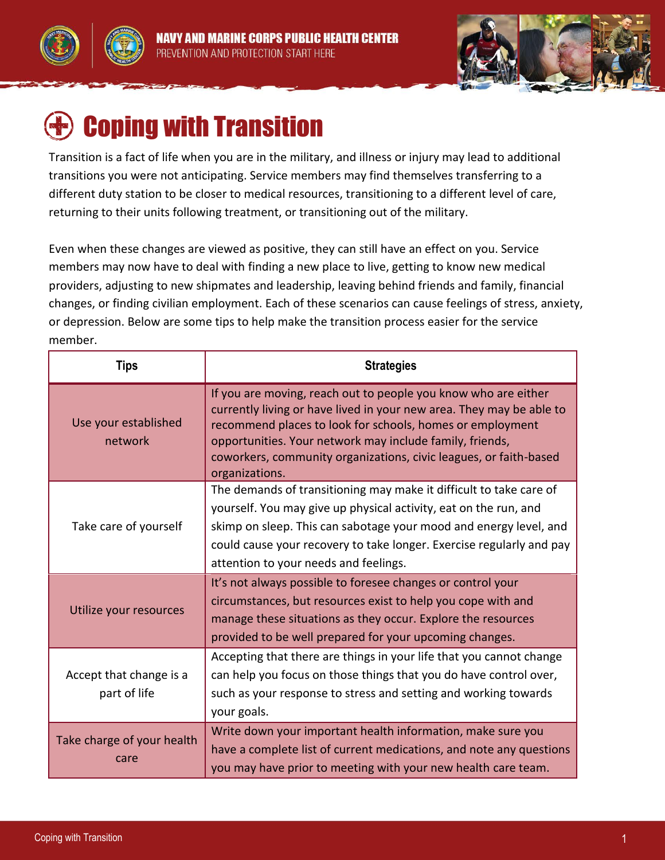



# Coping with Transition

Transition is a fact of life when you are in the military, and illness or injury may lead to additional transitions you were not anticipating. Service members may find themselves transferring to a different duty station to be closer to medical resources, transitioning to a different level of care, returning to their units following treatment, or transitioning out of the military.

Even when these changes are viewed as positive, they can still have an effect on you. Service members may now have to deal with finding a new place to live, getting to know new medical providers, adjusting to new shipmates and leadership, leaving behind friends and family, financial changes, or finding civilian employment. Each of these scenarios can cause feelings of stress, anxiety, or depression. Below are some tips to help make the transition process easier for the service member.

| Tips                                    | <b>Strategies</b>                                                                                                                                                                                                                                                                                                                                      |
|-----------------------------------------|--------------------------------------------------------------------------------------------------------------------------------------------------------------------------------------------------------------------------------------------------------------------------------------------------------------------------------------------------------|
| Use your established<br>network         | If you are moving, reach out to people you know who are either<br>currently living or have lived in your new area. They may be able to<br>recommend places to look for schools, homes or employment<br>opportunities. Your network may include family, friends,<br>coworkers, community organizations, civic leagues, or faith-based<br>organizations. |
| Take care of yourself                   | The demands of transitioning may make it difficult to take care of<br>yourself. You may give up physical activity, eat on the run, and<br>skimp on sleep. This can sabotage your mood and energy level, and<br>could cause your recovery to take longer. Exercise regularly and pay<br>attention to your needs and feelings.                           |
| Utilize your resources                  | It's not always possible to foresee changes or control your<br>circumstances, but resources exist to help you cope with and<br>manage these situations as they occur. Explore the resources<br>provided to be well prepared for your upcoming changes.                                                                                                 |
| Accept that change is a<br>part of life | Accepting that there are things in your life that you cannot change<br>can help you focus on those things that you do have control over,<br>such as your response to stress and setting and working towards<br>your goals.                                                                                                                             |
| Take charge of your health<br>care      | Write down your important health information, make sure you<br>have a complete list of current medications, and note any questions<br>you may have prior to meeting with your new health care team.                                                                                                                                                    |